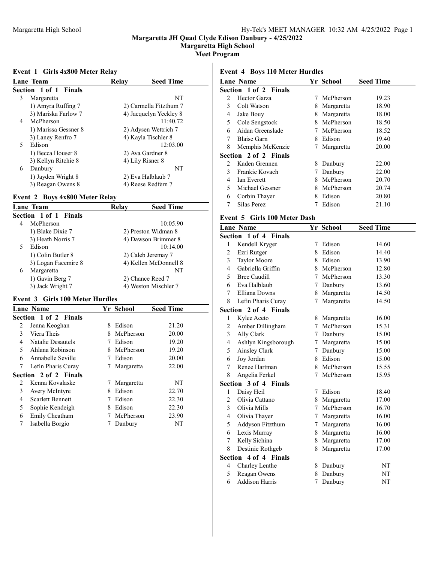Margaretta High School

Meet Program

#### Event 1 Girls 4x800 Meter Relay

| <b>Lane Team</b>      | Relay<br><b>Seed Time</b> |
|-----------------------|---------------------------|
| Section 1 of 1 Finals |                           |
| 3<br>Margaretta       | NT                        |
| 1) Amyra Ruffing 7    | 2) Carmella Fitzthum 7    |
| 3) Mariska Farlow 7   | 4) Jacquelyn Yeckley 8    |
| McPherson<br>4        | 11:40.72                  |
| 1) Marissa Gessner 8  | 2) Adysen Wettrich 7      |
| 3) Laney Renfro 7     | 4) Kayla Tischler 8       |
| Edison<br>5           | 12:03.00                  |
| 1) Becca Houser 8     | 2) Ava Gardner 8          |
| 3) Kellyn Ritchie 8   | 4) Lily Risner 8          |
| Danbury<br>6          | NT                        |
| 1) Jayden Wright 8    | 2) Eva Halblaub 7         |
| 3) Reagan Owens 8     | 4) Reese Redfern 7        |

### Event 2 Boys 4x800 Meter Relay

| Lane Team             | Relay | <b>Seed Time</b>      |
|-----------------------|-------|-----------------------|
| Section 1 of 1 Finals |       |                       |
| McPherson<br>4        |       | 10:05.90              |
| 1) Blake Dixie 7      |       | 2) Preston Widman 8   |
| 3) Heath Norris 7     |       | 4) Dawson Brimmer 8   |
| Edison                |       | 10:14.00              |
| 1) Colin Butler 8     |       | 2) Caleb Jeremay 7    |
| 3) Logan Facemire 8   |       | 4) Kellen McDonnell 8 |
| Margaretta<br>6       |       | NT                    |
| 1) Gavin Berg 7       |       | 2) Chance Reed 7      |
| 3) Jack Wright 7      |       | 4) Weston Mischler 7  |

# Event 3 Girls 100 Meter Hurdles

|                | <b>Lane Name</b>             |   | Yr School  | <b>Seed Time</b> |
|----------------|------------------------------|---|------------|------------------|
|                | <b>Section 1 of 2 Finals</b> |   |            |                  |
| 2              | Jenna Keoghan                | 8 | Edison     | 21.20            |
| 3              | Viera Theis                  | 8 | McPherson  | 20.00            |
| 4              | Natalie Desautels            | 7 | Edison     | 19.20            |
| 5              | Ahlana Robinson              | 8 | McPherson  | 19.20            |
| 6              | Annabelle Seville            | 7 | Edison     | 20.00            |
| 7              | Lefin Pharis Curay           | 7 | Margaretta | 22.00            |
|                | <b>Section 2 of 2 Finals</b> |   |            |                  |
| $\mathfrak{D}$ | Kenna Kovalaske              |   | Margaretta | NT               |
| 3              | Avery McIntyre               | 8 | Edison     | 22.70            |
| 4              | <b>Scarlett Bennett</b>      |   | Edison     | 22.30            |
| 5              | Sophie Kendeigh              | 8 | Edison     | 22.30            |
| 6              | Emily Cheatham               | 7 | McPherson  | 23.90            |
| 7              | Isabella Borgio              | 7 | Danbury    | NT               |

### Event 4 Boys 110 Meter Hurdles

|               | <b>Lane Name</b>             |    | Yr School   | <b>Seed Time</b> |
|---------------|------------------------------|----|-------------|------------------|
|               | <b>Section 1 of 2 Finals</b> |    |             |                  |
| $\mathcal{L}$ | Hector Garza                 | 7  | McPherson   | 19.23            |
| 3             | Colt Watson                  | 8  | Margaretta  | 18.90            |
| 4             | Jake Bouy                    | 8  | Margaretta  | 18.00            |
| 5             | Cole Sengstock               | 8  | McPherson   | 18.50            |
| 6             | Aidan Greenslade             |    | 7 McPherson | 18.52            |
| 7             | <b>Blaise Garn</b>           | 8  | Edison      | 19.40            |
| 8             | Memphis McKenzie             | 7  | Margaretta  | 20.00            |
|               | <b>Section 2 of 2 Finals</b> |    |             |                  |
| 2             | Kaden Grennen                | 8  | Danbury     | 22.00            |
| 3             | Frankie Kovach               | 7  | Danbury     | 22.00            |
| 4             | <b>Ian Everett</b>           | 8  | McPherson   | 20.70            |
| 5             | Michael Gessner              | 8. | McPherson   | 20.74            |
| 6             | Corbin Thayer                | 8  | Edison      | 20.80            |
|               | Silas Perez                  |    | Edison      | 21.10            |
|               |                              |    |             |                  |

### Event 5 Girls 100 Meter Dash

|                         | <b>Lane Name</b>      |             | Yr School    | <b>Seed Time</b> |
|-------------------------|-----------------------|-------------|--------------|------------------|
|                         | Section 1 of 4 Finals |             |              |                  |
| 1                       | Kendell Kryger        |             | 7 Edison     | 14.60            |
| 2                       | Ezri Rutger           | 8           | Edison       | 14.40            |
| $\overline{\mathbf{3}}$ | <b>Taylor Moore</b>   |             | 8 Edison     | 13.90            |
| $\overline{4}$          | Gabriella Griffin     |             | 8 McPherson  | 12.80            |
| 5                       | <b>Bree Caudill</b>   | 7           | McPherson    | 13.30            |
| 6                       | Eva Halblaub          |             | 7 Danbury    | 13.60            |
| 7                       | Elliana Downs         |             | 8 Margaretta | 14.50            |
| 8                       | Lefin Pharis Curay    | 7           | Margaretta   | 14.50            |
|                         | Section 2 of 4 Finals |             |              |                  |
| 1                       | Kylee Aceto           | 8.          | Margaretta   | 16.00            |
| 2                       | Amber Dillingham      | 7           | McPherson    | 15.31            |
| $\overline{\mathbf{3}}$ | Ally Clark            |             | 7 Danbury    | 15.00            |
| 4                       | Ashlyn Kingsborough   | $7^{\circ}$ | Margaretta   | 15.00            |
| 5                       | Ainsley Clark         | 7           | Danbury      | 15.00            |
| 6                       | Joy Jordan            |             | 8 Edison     | 15.00            |
| 7                       | Renee Hartman         |             | 8 McPherson  | 15.55            |
| 8                       | Angelia Ferkel        | $7^{\circ}$ | McPherson    | 15.95            |
|                         | Section 3 of 4 Finals |             |              |                  |
| 1                       | Daisy Heil            | 7           | Edison       | 18.40            |
| $\overline{c}$          | Olivia Cattano        | 8           | Margaretta   | 17.00            |
| 3                       | Olivia Mills          |             | 7 McPherson  | 16.70            |
| $\overline{4}$          | Olivia Thayer         | 7           | Margaretta   | 16.00            |
| 5                       | Addyson Fitzthum      | 7           | Margaretta   | 16.00            |
| 6                       | Lexis Murray          |             | 8 Margaretta | 16.00            |
| 7                       | Kelly Sichina         | 8           | Margaretta   | 17.00            |
| 8                       | Destinie Rothgeb      | 8           | Margaretta   | 17.00            |
|                         | Section 4 of 4 Finals |             |              |                  |
| 4                       | Charley Lenthe        | 8           | Danbury      | NT               |
| 5                       | Reagan Owens          | 8           | Danbury      | NT               |
| 6                       | <b>Addison Harris</b> | 7           | Danbury      | NT               |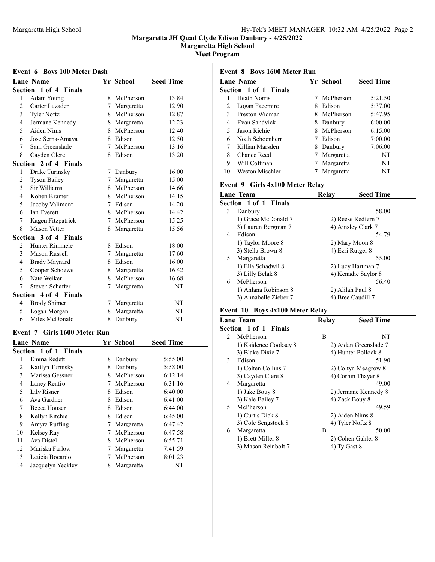Margaretta High School

Meet Program

#### Event 6 Boys 100 Meter Dash

|                | <b>Lane Name</b>      |                 | Yr School   | <b>Seed Time</b> |
|----------------|-----------------------|-----------------|-------------|------------------|
|                | Section 1 of 4 Finals |                 |             |                  |
| 1              | Adam Young            | 8               | McPherson   | 13.84            |
| $\overline{2}$ | Carter Luzader        | 7               | Margaretta  | 12.90            |
| 3              | <b>Tyler Noftz</b>    |                 | 8 McPherson | 12.87            |
| 4              | Jermane Kennedy       | 8               | Margaretta  | 12.23            |
| 5              | Aiden Nims            | 8.              | McPherson   | 12.40            |
| 6              | Jose Serna-Amaya      | 8               | Edison      | 12.50            |
| 7              | Sam Greenslade        | 7               | McPherson   | 13.16            |
| 8              | Cayden Clere          | 8               | Edison      | 13.20            |
|                | Section 2 of 4 Finals |                 |             |                  |
| 1              | Drake Turinsky        | 7               | Danbury     | 16.00            |
| $\overline{2}$ | <b>Tyson Bailey</b>   | 7               | Margaretta  | 15.00            |
| 3              | Sir Williams          |                 | 8 McPherson | 14.66            |
| 4              | Kohen Kramer          | 8               | McPherson   | 14.15            |
| 5              | Jacoby Valimont       |                 | 7 Edison    | 14.20            |
| 6              | <b>Ian Everett</b>    | 8               | McPherson   | 14.42            |
| 7              | Kagen Fitzpatrick     | $7\phantom{.0}$ | McPherson   | 15.25            |
| 8              | <b>Mason Yetter</b>   | 8               | Margaretta  | 15.56            |
|                | Section 3 of 4 Finals |                 |             |                  |
| 2              | Hunter Rimmele        | 8.              | Edison      | 18.00            |
| 3              | Mason Russell         | 7               | Margaretta  | 17.60            |
| 4              | <b>Brady Maynard</b>  | 8               | Edison      | 16.00            |
| 5              | Cooper Schoewe        | 8               | Margaretta  | 16.42            |
| 6              | Nate Weiker           |                 | 8 McPherson | 16.68            |
| 7              | Steven Schaffer       | 7               | Margaretta  | NT               |
|                | Section 4 of 4 Finals |                 |             |                  |
| 4              | <b>Brody Shimer</b>   | 7               | Margaretta  | NT               |
| 5              | Logan Morgan          | 8               | Margaretta  | NT               |
| 6              | Miles McDonald        | 8               | Danbury     | NT               |

### Event 7 Girls 1600 Meter Run

|    | <b>Lane Name</b>      |   | Yr School  | <b>Seed Time</b> |
|----|-----------------------|---|------------|------------------|
|    | Section 1 of 1 Finals |   |            |                  |
| 1  | Emma Redett           | 8 | Danbury    | 5:55.00          |
| 2  | Kaitlyn Turinsky      | 8 | Danbury    | 5:58.00          |
| 3  | Marissa Gessner       | 8 | McPherson  | 6:12.14          |
| 4  | Laney Renfro          | 7 | McPherson  | 6:31.16          |
| 5  | Lily Risner           | 8 | Edison     | 6:40.00          |
| 6  | Ava Gardner           | 8 | Edison     | 6:41.00          |
| 7  | Becca Houser          | 8 | Edison     | 6:44.00          |
| 8  | Kellyn Ritchie        | 8 | Edison     | 6:45.00          |
| 9  | Amyra Ruffing         | 7 | Margaretta | 6:47.42          |
| 10 | Kelsey Ray            | 7 | McPherson  | 6:47.58          |
| 11 | Ava Distel            | 8 | McPherson  | 6:55.71          |
| 12 | Mariska Farlow        | 7 | Margaretta | 7:41.59          |
| 13 | Leticia Bocardo       |   | McPherson  | 8:01.23          |
| 14 | Jacquelyn Yeckley     | 8 | Margaretta | NT               |
|    |                       |   |            |                  |

# Event 8 Boys 1600 Meter Run

|    | <b>Lane Name</b>             |   | Yr School  | <b>Seed Time</b> |
|----|------------------------------|---|------------|------------------|
|    | <b>Section 1 of 1 Finals</b> |   |            |                  |
|    | Heath Norris                 |   | McPherson  | 5:21.50          |
| 2  | Logan Facemire               | 8 | Edison     | 5:37.00          |
| 3  | Preston Widman               | 8 | McPherson  | 5:47.95          |
| 4  | Evan Sandvick                | 8 | Danbury    | 6:00.00          |
|    | Jason Richie                 | 8 | McPherson  | 6:15.00          |
| 6  | Noah Schoenherr              |   | Edison     | 7:00.00          |
|    | Killian Marsden              | 8 | Danbury    | 7:06.00          |
| 8  | Chance Reed                  |   | Margaretta | NT               |
| 9  | Will Coffman                 |   | Margaretta | NT               |
| 10 | Weston Mischler              |   | Margaretta | NT               |

# Event 9 Girls 4x100 Meter Relay

|   | <b>Lane Team</b>             | Relay | <b>Seed Time</b>    |
|---|------------------------------|-------|---------------------|
|   | <b>Section 1 of 1 Finals</b> |       |                     |
| 3 | Danbury                      |       | 58.00               |
|   | 1) Grace McDonald 7          |       | 2) Reese Redfern 7  |
|   | 3) Lauren Bergman 7          |       | 4) Ainsley Clark 7  |
| 4 | Edison                       |       | 54.79               |
|   | 1) Taylor Moore 8            |       | 2) Mary Moon 8      |
|   | 3) Stella Brown 8            |       | 4) Ezri Rutger 8    |
| 5 | Margaretta                   |       | 55.00               |
|   | 1) Ella Schadwil 8           |       | 2) Lucy Hartman 7   |
|   | 3) Lilly Belak 8             |       | 4) Kenadie Saylor 8 |
| 6 | McPherson                    |       | 56.40               |
|   | 1) Ahlana Robinson 8         |       | 2) Alilah Paul 8    |
|   | 3) Annabelle Zieber 7        |       | 4) Bree Caudill 7   |

# Event 10 Boys 4x100 Meter Relay

|               | Lane Team             | Relay | <b>Seed Time</b>      |
|---------------|-----------------------|-------|-----------------------|
|               | Section 1 of 1 Finals |       |                       |
| $\mathcal{L}$ | McPherson             | B     | NT                    |
|               | 1) Kaidence Cooksey 8 |       | 2) Aidan Greenslade 7 |
|               | 3) Blake Dixie 7      |       | 4) Hunter Pollock 8   |
| 3             | Edison                |       | 51.90                 |
|               | 1) Colten Collins 7   |       | 2) Coltyn Meagrow 8   |
|               | 3) Cayden Clere 8     |       | 4) Corbin Thayer 8    |
| 4             | Margaretta            |       | 49.00                 |
|               | 1) Jake Bouy 8        |       | 2) Jermane Kennedy 8  |
|               | 3) Kale Bailey 7      |       | 4) Zack Bouy 8        |
| 5             | McPherson             |       | 49.59                 |
|               | 1) Curtis Dick 8      |       | 2) Aiden Nims 8       |
|               | 3) Cole Sengstock 8   |       | 4) Tyler Noftz 8      |
| 6             | Margaretta            | B     | 50.00                 |
|               | 1) Brett Miller 8     |       | 2) Cohen Gahler 8     |
|               | 3) Mason Reinbolt 7   |       | 4) Ty Gast 8          |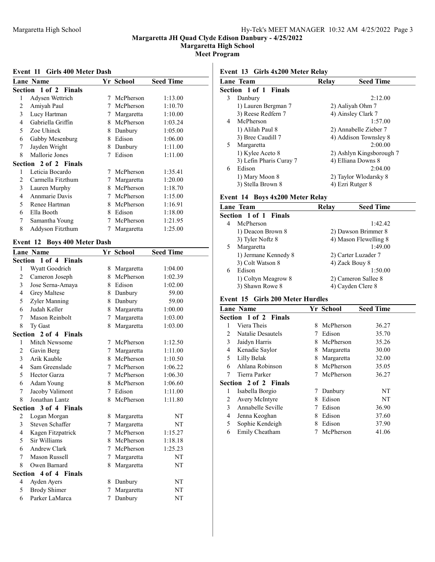Margaretta High School

Meet Program

#### Event 11 Girls 400 Meter Dash

|                | Lane Name             |   | Yr School  | <b>Seed Time</b> |
|----------------|-----------------------|---|------------|------------------|
|                | Section 1 of 2 Finals |   |            |                  |
| 1              | Adysen Wettrich       | 7 | McPherson  | 1:13.00          |
| $\overline{c}$ | Amiyah Paul           | 7 | McPherson  | 1:10.70          |
| 3              | Lucy Hartman          | 7 | Margaretta | 1:10.00          |
| 4              | Gabriella Griffin     | 8 | McPherson  | 1:03.24          |
| 5              | Zoe Uhinck            | 8 | Danbury    | 1:05.00          |
| 6              | Gabby Mesenburg       | 8 | Edison     | 1:06.00          |
| 7              | Jayden Wright         | 8 | Danbury    | 1:11.00          |
| 8              | Mallorie Jones        | 7 | Edison     | 1:11.00          |
|                | Section 2 of 2 Finals |   |            |                  |
| 1              | Leticia Bocardo       | 7 | McPherson  | 1:35.41          |
| 2              | Carmella Fitzthum     | 7 | Margaretta | 1:20.00          |
| 3              | Lauren Murphy         | 8 | McPherson  | 1:18.70          |
| 4              | Annmarie Davis        | 7 | McPherson  | 1:15.00          |
| 5              | Renee Hartman         | 8 | McPherson  | 1:16.91          |
| 6              | Ella Booth            | 8 | Edison     | 1:18.00          |
| 7              | Samantha Young        | 7 | McPherson  | 1:21.95          |
| 8              | Addyson Fitzthum      | 7 | Margaretta | 1:25.00          |

# Event 12 Boys 400 Meter Dash

|                          | <b>Lane Name</b>      |                 | Yr School    | <b>Seed Time</b> |
|--------------------------|-----------------------|-----------------|--------------|------------------|
|                          | Section 1 of 4 Finals |                 |              |                  |
| 1                        | Wyatt Goodrich        | 8               | Margaretta   | 1:04.00          |
| $\overline{2}$           | Cameron Joseph        |                 | 8 McPherson  | 1:02.39          |
| 3                        | Jose Serna-Amaya      |                 | 8 Edison     | 1:02.00          |
| $\overline{4}$           | <b>Grey Maltese</b>   |                 | 8 Danbury    | 59.00            |
| 5                        | Zyler Manning         |                 | 8 Danbury    | 59.00            |
| 6                        | Judah Keller          |                 | 8 Margaretta | 1:00.00          |
| 7                        | Mason Reinbolt        | $\tau$          | Margaretta   | 1:03.00          |
| 8                        | Ty Gast               | 8               | Margaretta   | 1:03.00          |
|                          | Section 2 of 4 Finals |                 |              |                  |
| 1                        | Mitch Newsome         | 7               | McPherson    | 1:12.50          |
| 2                        | Gavin Berg            | 7               | Margaretta   | 1:11.00          |
| 3                        | Arik Kauble           |                 | 8 McPherson  | 1:10.50          |
| $\overline{\mathcal{L}}$ | Sam Greenslade        | $\tau$          | McPherson    | 1:06.22          |
| 5                        | Hector Garza          |                 | 7 McPherson  | 1:06.30          |
| 6                        | Adam Young            |                 | 8 McPherson  | 1:06.60          |
| $\tau$                   | Jacoby Valimont       | $7\phantom{.0}$ | Edison       | 1:11.00          |
| 8                        | Jonathan Lantz        | 8               | McPherson    | 1:11.80          |
|                          | Section 3 of 4 Finals |                 |              |                  |
| 2                        | Logan Morgan          | 8               | Margaretta   | NT               |
| 3                        | Steven Schaffer       | $7\phantom{.0}$ | Margaretta   | NT               |
| 4                        | Kagen Fitzpatrick     |                 | 7 McPherson  | 1:15.27          |
| 5                        | Sir Williams          |                 | 8 McPherson  | 1:18.18          |
| 6                        | Andrew Clark          | $7\phantom{.0}$ | McPherson    | 1:25.23          |
| 7                        | Mason Russell         | 7               | Margaretta   | NT               |
| 8                        | Owen Barnard          | 8               | Margaretta   | NT               |
|                          | Section 4 of 4 Finals |                 |              |                  |
| 4                        | Ayden Ayers           |                 | 8 Danbury    | NT               |
| 5                        | <b>Brody Shimer</b>   | 7               | Margaretta   | NT               |
| 6                        | Parker LaMarca        | 7               | Danbury      | NT               |

# Event 13 Girls 4x200 Meter Relay

|    | Lane Team               | Relay | <b>Seed Time</b>         |
|----|-------------------------|-------|--------------------------|
|    | Section 1 of 1 Finals   |       |                          |
| 3  | Danbury                 |       | 2:12.00                  |
|    | 1) Lauren Bergman 7     |       | 2) Aaliyah Ohm 7         |
|    | 3) Reese Redfern 7      |       | 4) Ainsley Clark 7       |
| 4  | McPherson               |       | 1:57.00                  |
|    | 1) Alilah Paul 8        |       | 2) Annabelle Zieber 7    |
|    | 3) Bree Caudill 7       |       | 4) Addison Townsley 8    |
| 5. | Margaretta              |       | 2:00.00                  |
|    | 1) Kylee Aceto 8        |       | 2) Ashlyn Kingsborough 7 |
|    | 3) Lefin Pharis Curay 7 |       | 4) Elliana Downs 8       |
| 6  | Edison                  |       | 2:04.00                  |
|    | 1) Mary Moon 8          |       | 2) Taylor Wlodarsky 8    |
|    | 3) Stella Brown 8       |       | 4) Ezri Rutger 8         |

# Event 14 Boys 4x200 Meter Relay

|                              | Lane Team            | Relay | <b>Seed Time</b>      |  |
|------------------------------|----------------------|-------|-----------------------|--|
| <b>Section 1 of 1 Finals</b> |                      |       |                       |  |
| 4                            | McPherson            |       | 1:42.42               |  |
|                              | 1) Deacon Brown 8    |       | 2) Dawson Brimmer 8   |  |
|                              | 3) Tyler Noftz 8     |       | 4) Mason Flewelling 8 |  |
| 5                            | Margaretta           |       | 1:49.00               |  |
|                              | 1) Jermane Kennedy 8 |       | 2) Carter Luzader 7   |  |
|                              | 3) Colt Watson 8     |       | 4) Zack Bouy 8        |  |
| 6                            | Edison               |       | 1:50.00               |  |
|                              | 1) Coltyn Meagrow 8  |       | 2) Cameron Sallee 8   |  |
|                              | 3) Shawn Rowe 8      |       | 4) Cayden Clere 8     |  |

# Event 15 Girls 200 Meter Hurdles

|                | Lane Name             |   | Yr School  | <b>Seed Time</b> |
|----------------|-----------------------|---|------------|------------------|
|                | Section 1 of 2 Finals |   |            |                  |
|                | Viera Theis           | 8 | McPherson  | 36.27            |
| 2              | Natalie Desautels     | 7 | Edison     | 35.70            |
| 3              | Jaidyn Harris         | 8 | McPherson  | 35.26            |
| $\overline{4}$ | Kenadie Saylor        | 8 | Margaretta | 30.00            |
| 5              | Lilly Belak           | 8 | Margaretta | 32.00            |
| 6              | Ahlana Robinson       | 8 | McPherson  | 35.05            |
| 7              | Tierra Parker         | 7 | McPherson  | 36.27            |
|                | Section 2 of 2 Finals |   |            |                  |
| 1              | Isabella Borgio       | 7 | Danbury    | NT               |
| 2              | Avery McIntyre        | 8 | Edison     | NT               |
| 3              | Annabelle Seville     | 7 | Edison     | 36.90            |
| 4              | Jenna Keoghan         | 8 | Edison     | 37.60            |
| 5              | Sophie Kendeigh       | 8 | Edison     | 37.90            |
| 6              | Emily Cheatham        |   | McPherson  | 41.06            |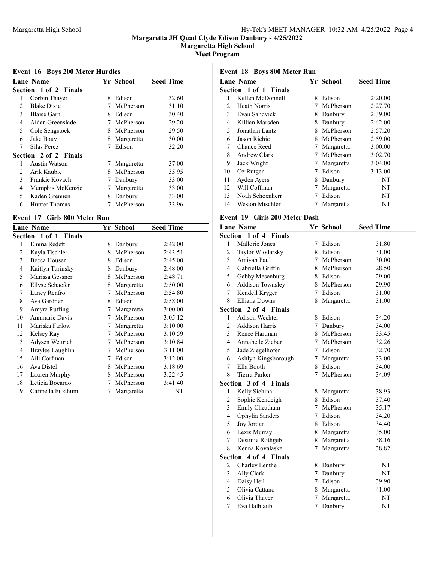Margaretta High School

Meet Program

# Event 16 Boys 200 Meter Hurdles

|   | Lane Name             |   | Yr School  | <b>Seed Time</b> |
|---|-----------------------|---|------------|------------------|
|   | Section 1 of 2 Finals |   |            |                  |
| 1 | Corbin Thayer         | 8 | Edison     | 32.60            |
| 2 | <b>Blake Dixie</b>    |   | McPherson  | 31.10            |
| 3 | <b>Blaise Garn</b>    | 8 | Edison     | 30.40            |
| 4 | Aidan Greenslade      | 7 | McPherson  | 29.20            |
| 5 | Cole Sengstock        | 8 | McPherson  | 29.50            |
| 6 | Jake Bouy             | 8 | Margaretta | 30.00            |
| 7 | Silas Perez           | 7 | Edison     | 32.20            |
|   | Section 2 of 2 Finals |   |            |                  |
|   | Austin Watson         | 7 | Margaretta | 37.00            |
| 2 | Arik Kauble           | 8 | McPherson  | 35.95            |
| 3 | Frankie Kovach        | 7 | Danbury    | 33.00            |
| 4 | Memphis McKenzie      |   | Margaretta | 33.00            |
| 5 | Kaden Grennen         | 8 | Danbury    | 33.00            |
| 6 | Hunter Thomas         |   | McPherson  | 33.96            |
|   |                       |   |            |                  |

### Event 17 Girls 800 Meter Run

|    | <b>Lane Name</b>      |   | Yr School  | <b>Seed Time</b> |
|----|-----------------------|---|------------|------------------|
|    | Section 1 of 1 Finals |   |            |                  |
| 1  | Emma Redett           | 8 | Danbury    | 2:42.00          |
| 2  | Kayla Tischler        | 8 | McPherson  | 2:43.51          |
| 3  | <b>Becca Houser</b>   | 8 | Edison     | 2:45.00          |
| 4  | Kaitlyn Turinsky      | 8 | Danbury    | 2:48.00          |
| 5  | Marissa Gessner       | 8 | McPherson  | 2:48.71          |
| 6  | Ellyse Schaefer       | 8 | Margaretta | 2:50.00          |
| 7  | Laney Renfro          | 7 | McPherson  | 2:54.80          |
| 8  | Ava Gardner           | 8 | Edison     | 2:58.00          |
| 9  | Amyra Ruffing         | 7 | Margaretta | 3:00.00          |
| 10 | Annmarie Davis        | 7 | McPherson  | 3:05.12          |
| 11 | Mariska Farlow        | 7 | Margaretta | 3:10.00          |
| 12 | Kelsey Ray            | 7 | McPherson  | 3:10.59          |
| 13 | Adysen Wettrich       | 7 | McPherson  | 3:10.84          |
| 14 | Braylee Laughlin      | 7 | McPherson  | 3:11.00          |
| 15 | Aili Corfman          | 7 | Edison     | 3:12.00          |
| 16 | Ava Distel            | 8 | McPherson  | 3:18.69          |
| 17 | Lauren Murphy         | 8 | McPherson  | 3:22.45          |
| 18 | Leticia Bocardo       | 7 | McPherson  | 3:41.40          |
| 19 | Carmella Fitzthum     | 7 | Margaretta | NT               |
|    |                       |   |            |                  |

# Event 18 Boys 800 Meter Run

| <b>Lane Name</b>             |   |            | <b>Seed Time</b> |
|------------------------------|---|------------|------------------|
| <b>Section 1 of 1 Finals</b> |   |            |                  |
| Kellen McDonnell             | 8 | Edison     | 2:20.00          |
| Heath Norris                 |   | McPherson  | 2:27.70          |
| Evan Sandvick                | 8 | Danbury    | 2:39.00          |
| Killian Marsden              | 8 | Danbury    | 2:42.00          |
| Jonathan Lantz               | 8 | McPherson  | 2:57.20          |
| Jason Richie                 | 8 | McPherson  | 2:59.00          |
| Chance Reed                  | 7 | Margaretta | 3:00.00          |
| Andrew Clark                 | 7 | McPherson  | 3:02.70          |
| Jack Wright                  | 7 | Margaretta | 3:04.00          |
| Oz Rutger                    | 7 | Edison     | 3:13.00          |
| <b>Ayden Ayers</b>           | 8 | Danbury    | NT               |
| Will Coffman                 | 7 | Margaretta | NT               |
| Noah Schoenherr              |   | Edison     | NT               |
| Weston Mischler              |   | Margaretta | NT               |
|                              |   |            | Yr School        |

### Event 19 Girls 200 Meter Dash

|                | <b>Lane Name</b>        |   | Yr School    | <b>Seed Time</b> |
|----------------|-------------------------|---|--------------|------------------|
|                | Section 1 of 4 Finals   |   |              |                  |
| 1              | Mallorie Jones          | 7 | Edison       | 31.80            |
| $\overline{c}$ | Taylor Wlodarsky        |   | 8 Edison     | 31.00            |
| 3              | Amiyah Paul             |   | 7 McPherson  | 30.00            |
| $\overline{4}$ | Gabriella Griffin       |   | 8 McPherson  | 28.50            |
| 5              | Gabby Mesenburg         |   | 8 Edison     | 29.00            |
| 6              | <b>Addison Townsley</b> |   | 8 McPherson  | 29.90            |
| 7              | Kendell Kryger          | 7 | Edison       | 31.00            |
| 8              | <b>Elliana Downs</b>    |   | 8 Margaretta | 31.00            |
| Section        | 2 of 4 Finals           |   |              |                  |
| 1              | Adison Wechter          |   | 8 Edison     | 34.20            |
| $\overline{2}$ | <b>Addison Harris</b>   |   | 7 Danbury    | 34.00            |
| 3              | Renee Hartman           |   | 8 McPherson  | 33.45            |
| $\overline{4}$ | Annabelle Zieber        | 7 | McPherson    | 32.26            |
| 5              | Jade Ziegelhofer        | 7 | Edison       | 32.70            |
| 6              | Ashlyn Kingsborough     | 7 | Margaretta   | 33.00            |
| 7              | Ella Booth              |   | 8 Edison     | 34.00            |
| 8              | <b>Tierra Parker</b>    | 7 | McPherson    | 34.09            |
|                | Section 3 of 4 Finals   |   |              |                  |
| 1              | Kelly Sichina           |   | 8 Margaretta | 38.93            |
| $\overline{2}$ | Sophie Kendeigh         |   | 8 Edison     | 37.40            |
| 3              | Emily Cheatham          | 7 | McPherson    | 35.17            |
| $\overline{4}$ | Ophylia Sanders         |   | 7 Edison     | 34.20            |
| 5              | Joy Jordan              |   | 8 Edison     | 34.40            |
| 6              | Lexis Murray            |   | 8 Margaretta | 35.00            |
| 7              | Destinie Rothgeb        |   | 8 Margaretta | 38.16            |
| 8              | Kenna Kovalaske         |   | 7 Margaretta | 38.82            |
| Section        | 4 of 4 Finals           |   |              |                  |
| 2              | Charley Lenthe          | 8 | Danbury      | NT               |
| 3              | Ally Clark              | 7 | Danbury      | NT               |
| $\overline{4}$ | Daisy Heil              | 7 | Edison       | 39.90            |
| 5              | Olivia Cattano          |   | 8 Margaretta | 41.00            |
| 6              | Olivia Thayer           | 7 | Margaretta   | NT               |
| 7              | Eva Halblaub            | 7 | Danbury      | NT               |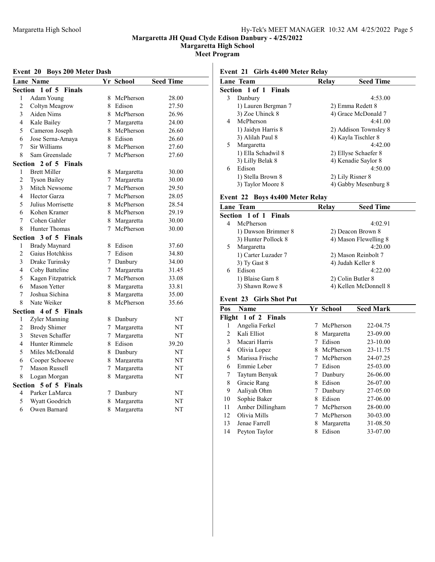Margaretta High School

Meet Program

#### Event 20 Boys 200 Meter Dash

|                          | Lane Name                       |                 | Yr School    | <b>Seed Time</b> |
|--------------------------|---------------------------------|-----------------|--------------|------------------|
|                          | Section 1 of 5<br><b>Finals</b> |                 |              |                  |
| 1                        | Adam Young                      | 8               | McPherson    | 28.00            |
| $\overline{c}$           | Coltyn Meagrow                  |                 | 8 Edison     | 27.50            |
| 3                        | Aiden Nims                      |                 | 8 McPherson  | 26.96            |
| 4                        | Kale Bailey                     | $7\phantom{.0}$ | Margaretta   | 24.00            |
| 5                        | Cameron Joseph                  | 8               | McPherson    | 26.60            |
| 6                        | Jose Serna-Amaya                |                 | 8 Edison     | 26.60            |
| 7                        | Sir Williams                    |                 | 8 McPherson  | 27.60            |
| 8                        | Sam Greenslade                  | $\tau$          | McPherson    | 27.60            |
| Section                  | 2 of 5 Finals                   |                 |              |                  |
| 1                        | <b>Brett Miller</b>             | 8               | Margaretta   | 30.00            |
| $\overline{c}$           | <b>Tyson Bailey</b>             | $7\phantom{.0}$ | Margaretta   | 30.00            |
| 3                        | Mitch Newsome                   |                 | 7 McPherson  | 29.50            |
| $\overline{\mathcal{L}}$ | Hector Garza                    | $\tau$          | McPherson    | 28.05            |
| 5                        | Julius Morrisette               | 8               | McPherson    | 28.54            |
| 6                        | Kohen Kramer                    | 8               | McPherson    | 29.19            |
| 7                        | Cohen Gahler                    |                 | 8 Margaretta | 30.00            |
| 8                        | <b>Hunter Thomas</b>            | 7               | McPherson    | 30.00            |
| Section                  | 3 of 5 Finals                   |                 |              |                  |
| 1                        | <b>Brady Maynard</b>            | 8               | Edison       | 37.60            |
| 2                        | Gaius Hotchkiss                 | 7               | Edison       | 34.80            |
| 3                        | Drake Turinsky                  |                 | 7 Danbury    | 34.00            |
| 4                        | Coby Batteline                  |                 | 7 Margaretta | 31.45            |
| 5                        | Kagen Fitzpatrick               | $7^{\circ}$     | McPherson    | 33.08            |
| 6                        | <b>Mason Yetter</b>             |                 | 8 Margaretta | 33.81            |
| 7                        | Joshua Sichina                  | 8               | Margaretta   | 35.00            |
| 8                        | Nate Weiker                     | 8               | McPherson    | 35.66            |
| Section                  | 4 of 5 Finals                   |                 |              |                  |
| 1                        | Zyler Manning                   | 8               | Danbury      | NT               |
| $\overline{2}$           | <b>Brody Shimer</b>             | $7^{\circ}$     | Margaretta   | NT               |
| 3                        | Steven Schaffer                 | $\tau$          | Margaretta   | NT               |
| 4                        | Hunter Rimmele                  |                 | 8 Edison     | 39.20            |
| 5                        | Miles McDonald                  |                 | 8 Danbury    | NT               |
| 6                        | Cooper Schoewe                  |                 | 8 Margaretta | NT               |
| 7                        | Mason Russell                   | $\tau$          | Margaretta   | NT               |
| 8                        | Logan Morgan                    | 8               | Margaretta   | NT               |
| Section                  | 5 of 5 Finals                   |                 |              |                  |
| 4                        | Parker LaMarca                  | 7               | Danbury      | NT               |
| 5                        | Wyatt Goodrich                  | 8               | Margaretta   | NT               |
| 6                        | Owen Barnard                    | 8               | Margaretta   | NT               |

# Event 21 Girls 4x400 Meter Relay

| Lane Team                    | Relay | <b>Seed Time</b>      |
|------------------------------|-------|-----------------------|
| <b>Section 1 of 1 Finals</b> |       |                       |
| Danbury<br>3                 |       | 4:53.00               |
| 1) Lauren Bergman 7          |       | 2) Emma Redett 8      |
| 3) Zoe Uhinck 8              |       | 4) Grace McDonald 7   |
| McPherson<br>4               |       | 4:41.00               |
| 1) Jaidyn Harris 8           |       | 2) Addison Townsley 8 |
| 3) Alilah Paul 8             |       | 4) Kayla Tischler 8   |
| Margaretta<br>5.             |       | 4:42.00               |
| 1) Ella Schadwil 8           |       | 2) Ellyse Schaefer 8  |
| 3) Lilly Belak 8             |       | 4) Kenadie Saylor 8   |
| Edison<br>6                  |       | 4:50.00               |
| 1) Stella Brown 8            |       | 2) Lily Risner 8      |
| 3) Taylor Moore 8            |       | 4) Gabby Mesenburg 8  |
|                              |       |                       |

# Event 22 Boys 4x400 Meter Relay

|   | Lane Team             | Relay | <b>Seed Time</b>      |
|---|-----------------------|-------|-----------------------|
|   | Section 1 of 1 Finals |       |                       |
| 4 | McPherson             |       | 4:02.91               |
|   | 1) Dawson Brimmer 8   |       | 2) Deacon Brown 8     |
|   | 3) Hunter Pollock 8   |       | 4) Mason Flewelling 8 |
|   | Margaretta            |       | 4:20.00               |
|   | 1) Carter Luzader 7   |       | 2) Mason Reinbolt 7   |
|   | 3) Ty Gast 8          |       | 4) Judah Keller 8     |
| 6 | Edison                |       | 4:22.00               |
|   | 1) Blaise Garn 8      |       | 2) Colin Butler 8     |
|   | 3) Shawn Rowe 8       |       | 4) Kellen McDonnell 8 |

# Event 23 Girls Shot Put

| Pos | Name                 |   | Yr School  | <b>Seed Mark</b> |
|-----|----------------------|---|------------|------------------|
|     | Flight 1 of 2 Finals |   |            |                  |
| 1   | Angelia Ferkel       | 7 | McPherson  | 22-04.75         |
| 2   | Kali Elliot          | 8 | Margaretta | 23-09.00         |
| 3   | Macari Harris        |   | Edison     | 23-10.00         |
| 4   | Olivia Lopez         | 8 | McPherson  | 23-11.75         |
| 5   | Marissa Frische      | 7 | McPherson  | 24-07.25         |
| 6   | Emmie Leber          | 7 | Edison     | 25-03.00         |
| 7   | Taytum Benyak        | 7 | Danbury    | 26-06.00         |
| 8   | Gracie Rang          | 8 | Edison     | 26-07.00         |
| 9   | Aaliyah Ohm          | 7 | Danbury    | 27-05.00         |
| 10  | Sophie Baker         | 8 | Edison     | 27-06.00         |
| 11  | Amber Dillingham     | 7 | McPherson  | 28-00.00         |
| 12  | Olivia Mills         | 7 | McPherson  | 30-03.00         |
| 13  | Jenae Farrell        | 8 | Margaretta | 31-08.50         |
| 14  | Peyton Taylor        | 8 | Edison     | 33-07.00         |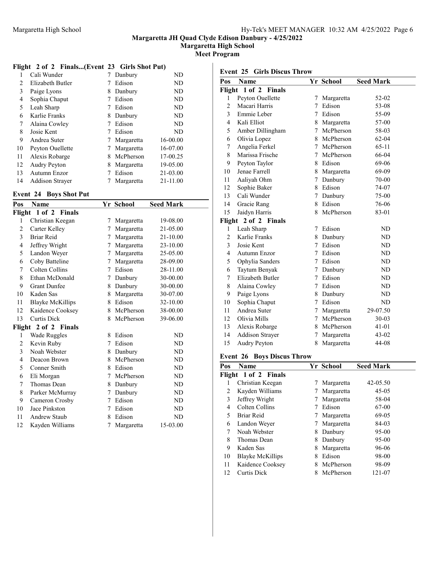Margaretta High School

Meet Program

# Flight 2 of 2 Finals...(Event 23 Girls Shot Put)

| 1  | Cali Wunder            |   | Danbury    | ND       |
|----|------------------------|---|------------|----------|
| 2  | Elizabeth Butler       |   | Edison     | ND       |
| 3  | Paige Lyons            | 8 | Danbury    | ND       |
| 4  | Sophia Chaput          |   | Edison     | ND       |
| 5  | Leah Sharp             |   | Edison     | ND       |
| 6  | Karlie Franks          | 8 | Danbury    | ND       |
| 7  | Alaina Cowley          |   | Edison     | ND       |
| 8  | Josie Kent             |   | Edison     | ND       |
| 9  | Andrea Suter           |   | Margaretta | 16-00.00 |
| 10 | Peyton Ouellette       |   | Margaretta | 16-07.00 |
| 11 | Alexis Robarge         | 8 | McPherson  | 17-00.25 |
| 12 | <b>Audry Peyton</b>    | 8 | Margaretta | 19-05.00 |
| 13 | Autumn Enzor           |   | Edison     | 21-03.00 |
| 14 | <b>Addison Strayer</b> |   | Margaretta | 21-11.00 |

# Event 24 Boys Shot Put

| Pos            | Name                    |   | Yr School  | <b>Seed Mark</b> |
|----------------|-------------------------|---|------------|------------------|
| Flight         | 1 of 2 Finals           |   |            |                  |
| 1              | Christian Keegan        | 7 | Margaretta | 19-08.00         |
| $\overline{2}$ | Carter Kelley           | 7 | Margaretta | 21-05.00         |
| 3              | Briar Reid              | 7 | Margaretta | 21-10.00         |
| 4              | Jeffrey Wright          | 7 | Margaretta | 23-10.00         |
| 5              | Landon Weyer            | 7 | Margaretta | 25-05.00         |
| 6              | Coby Batteline          | 7 | Margaretta | 28-09.00         |
| 7              | Colten Collins          | 7 | Edison     | 28-11.00         |
| 8              | Ethan McDonald          | 7 | Danbury    | 30-00.00         |
| 9              | <b>Grant Dunfee</b>     | 8 | Danbury    | 30-00.00         |
| 10             | Kaden Sas               | 8 | Margaretta | 30-07.00         |
| 11             | <b>Blayke McKillips</b> | 8 | Edison     | 32-10.00         |
| 12             | Kaidence Cooksey        | 8 | McPherson  | 38-00.00         |
| 13             | <b>Curtis Dick</b>      | 8 | McPherson  | 39-06.00         |
|                | Flight 2 of 2 Finals    |   |            |                  |
| 1              | Wade Ruggles            | 8 | Edison     | ND               |
| 2              | Kevin Ruby              | 7 | Edison     | ND               |
| 3              | Noah Webster            | 8 | Danbury    | ND               |
| 4              | Deacon Brown            | 8 | McPherson  | ND               |
| 5              | Conner Smith            | 8 | Edison     | ND               |
| 6              | Eli Morgan              | 7 | McPherson  | ND               |
| 7              | Thomas Dean             | 8 | Danbury    | ND               |
| 8              | Parker McMurray         | 7 | Danbury    | ND               |
| 9              | Cameron Crosby          | 7 | Edison     | ND               |
| 10             | Jace Pinkston           | 7 | Edison     | ND               |
| 11             | Andrew Staub            | 8 | Edison     | ND               |
| 12             | Kayden Williams         | 7 | Margaretta | 15-03.00         |

#### Event 25 Girls Discus Throw

| Pos            | Name                   |                 | Yr School    | <b>Seed Mark</b> |
|----------------|------------------------|-----------------|--------------|------------------|
|                | Flight 1 of 2 Finals   |                 |              |                  |
| 1              | Peyton Ouellette       | 7               | Margaretta   | 52-02            |
| $\overline{2}$ | Macari Harris          | 7               | Edison       | 53-08            |
| 3              | Emmie Leber            | $7^{\circ}$     | Edison       | 55-09            |
| 4              | Kali Elliot            |                 | 8 Margaretta | 57-00            |
| 5              | Amber Dillingham       | $\tau$          | McPherson    | 58-03            |
| 6              | Olivia Lopez           | 8               | McPherson    | $62 - 04$        |
| 7              | Angelia Ferkel         | $7^{\circ}$     | McPherson    | 65-11            |
| 8              | Marissa Frische        |                 | 7 McPherson  | 66-04            |
| 9              | Peyton Taylor          |                 | 8 Edison     | 69-06            |
| 10             | Jenae Farrell          | 8               | Margaretta   | 69-09            |
| 11             | Aaliyah Ohm            | $7\phantom{.0}$ | Danbury      | 70-00            |
| 12             | Sophie Baker           |                 | 8 Edison     | 74-07            |
| 13             | Cali Wunder            | $\tau$          | Danbury      | $75-00$          |
| 14             | Gracie Rang            | 8               | Edison       | 76-06            |
| 15             | Jaidyn Harris          | 8               | McPherson    | 83-01            |
| Flight         | 2 of 2 Finals          |                 |              |                  |
| 1              | Leah Sharp             | 7               | Edison       | ND               |
| $\overline{c}$ | Karlie Franks          | 8               | Danbury      | ND               |
| 3              | Josie Kent             | $\tau$          | Edison       | ND               |
| $\overline{4}$ | Autumn Enzor           | 7               | Edison       | ND               |
| 5              | Ophylia Sanders        | 7               | Edison       | <b>ND</b>        |
| 6              | Taytum Benyak          | $7^{\circ}$     | Danbury      | ND               |
| 7              | Elizabeth Butler       |                 | 7 Edison     | ND               |
| 8              | Alaina Cowley          | 7               | Edison       | <b>ND</b>        |
| 9              | Paige Lyons            | 8               | Danbury      | ND               |
| 10             | Sophia Chaput          | $\tau$          | Edison       | ND               |
| 11             | Andrea Suter           | 7               | Margaretta   | 29-07.50         |
| 12             | Olivia Mills           | $\tau$          | McPherson    | $30 - 03$        |
| 13             | Alexis Robarge         | 8               | McPherson    | 41-01            |
| 14             | <b>Addison Strayer</b> | 7               | Margaretta   | 43-02            |
| 15             | <b>Audry Peyton</b>    | 8               | Margaretta   | 44-08            |

### Event 26 Boys Discus Throw

| Pos | <b>Name</b>             |   | Yr School  | <b>Seed Mark</b> |
|-----|-------------------------|---|------------|------------------|
|     | Flight 1 of 2 Finals    |   |            |                  |
|     | Christian Keegan        |   | Margaretta | 42-05.50         |
| 2   | Kayden Williams         |   | Margaretta | $45-05$          |
| 3   | Jeffrey Wright          | 7 | Margaretta | 58-04            |
| 4   | Colten Collins          |   | Edison     | 67-00            |
| 5   | Briar Reid              |   | Margaretta | 69-05            |
| 6   | Landon Weyer            |   | Margaretta | 84-03            |
|     | Noah Webster            | 8 | Danbury    | $95 - 00$        |
| 8   | Thomas Dean             | 8 | Danbury    | $95 - 00$        |
| 9   | Kaden Sas               | 8 | Margaretta | 96-06            |
| 10  | <b>Blayke McKillips</b> | 8 | Edison     | 98-00            |
| 11  | Kaidence Cooksey        | 8 | McPherson  | 98-09            |
| 12  | Curtis Dick             | 8 | McPherson  | 121-07           |
|     |                         |   |            |                  |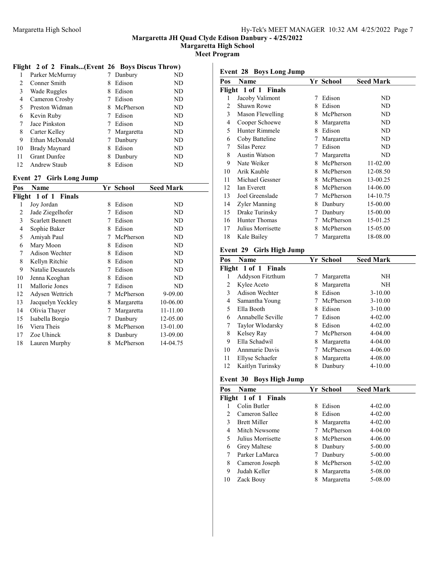Margaretta High School

Meet Program

# Flight 2 of 2 Finals...(Event 26 Boys Discus Throw)

|    | Parker McMurray     |   | Danbury    | ND  |
|----|---------------------|---|------------|-----|
| 2  | Conner Smith        | 8 | Edison     | ND  |
| 3  | Wade Ruggles        | 8 | Edison     | ND  |
| 4  | Cameron Crosby      |   | Edison     | ND  |
| 5  | Preston Widman      | 8 | McPherson  | ND  |
| 6  | Kevin Ruby          |   | Edison     | ND  |
| 7  | Jace Pinkston       |   | Edison     | ND  |
| 8  | Carter Kelley       |   | Margaretta | ND  |
| 9  | Ethan McDonald      |   | Danbury    | ND. |
| 10 | Brady Maynard       | 8 | Edison     | ND  |
| 11 | <b>Grant Dunfee</b> | 8 | Danbury    | ND  |
| 12 | <b>Andrew Staub</b> | 8 | Edison     | ND  |

# Event 27 Girls Long Jump

| Pos | Name                    |   | Yr School  | <b>Seed Mark</b> |
|-----|-------------------------|---|------------|------------------|
|     | Flight 1 of 1 Finals    |   |            |                  |
| 1   | Joy Jordan              | 8 | Edison     | ND               |
| 2   | Jade Ziegelhofer        | 7 | Edison     | ND               |
| 3   | <b>Scarlett Bennett</b> | 7 | Edison     | ND               |
| 4   | Sophie Baker            | 8 | Edison     | ND               |
| 5   | Amiyah Paul             | 7 | McPherson  | ND               |
| 6   | Mary Moon               | 8 | Edison     | ND               |
| 7   | Adison Wechter          | 8 | Edison     | ND               |
| 8   | Kellyn Ritchie          | 8 | Edison     | ND               |
| 9   | Natalie Desautels       | 7 | Edison     | ND               |
| 10  | Jenna Keoghan           | 8 | Edison     | ND               |
| 11  | Mallorie Jones          | 7 | Edison     | ND               |
| 12  | Adysen Wettrich         | 7 | McPherson  | 9-09.00          |
| 13  | Jacquelyn Yeckley       | 8 | Margaretta | 10-06.00         |
| 14  | Olivia Thayer           | Ί | Margaretta | 11-11.00         |
| 15  | Isabella Borgio         | 7 | Danbury    | 12-05.00         |
| 16  | Viera Theis             | 8 | McPherson  | 13-01.00         |
| 17  | Zoe Uhinck              | 8 | Danbury    | 13-09.00         |
| 18  | Lauren Murphy           | 8 | McPherson  | 14-04.75         |

# Event 28 Boys Long Jump

| Pos | Name                 |   | Yr School  | <b>Seed Mark</b> |
|-----|----------------------|---|------------|------------------|
|     | Flight 1 of 1 Finals |   |            |                  |
| 1   | Jacoby Valimont      | 7 | Edison     | ND               |
| 2   | Shawn Rowe           | 8 | Edison     | ND               |
| 3   | Mason Flewelling     | 8 | McPherson  | ND               |
| 4   | Cooper Schoewe       | 8 | Margaretta | ND               |
| 5   | Hunter Rimmele       | 8 | Edison     | ND               |
| 6   | Coby Batteline       | 7 | Margaretta | ND               |
| 7   | Silas Perez          | 7 | Edison     | ND               |
| 8   | <b>Austin Watson</b> | 7 | Margaretta | ND               |
| 9   | Nate Weiker          | 8 | McPherson  | 11-02.00         |
| 10  | Arik Kauble          | 8 | McPherson  | 12-08.50         |
| 11  | Michael Gessner      | 8 | McPherson  | 13-00.25         |
| 12  | Ian Everett          | 8 | McPherson  | 14-06.00         |
| 13  | Joel Greenslade      | 7 | McPherson  | 14-10.75         |
| 14  | Zyler Manning        | 8 | Danbury    | 15-00.00         |
| 15  | Drake Turinsky       | 7 | Danbury    | 15-00.00         |
| 16  | Hunter Thomas        | 7 | McPherson  | 15-01.25         |
| 17  | Julius Morrisette    | 8 | McPherson  | 15-05.00         |
| 18  | Kale Bailey          | 7 | Margaretta | 18-08.00         |
|     |                      |   |            |                  |

# Event 29 Girls High Jump

| Pos | Name                 |   | Yr School  | <b>Seed Mark</b> |
|-----|----------------------|---|------------|------------------|
|     | Flight 1 of 1 Finals |   |            |                  |
|     | Addyson Fitzthum     |   | Margaretta | NH               |
| 2   | Kylee Aceto          | 8 | Margaretta | NH               |
| 3   | Adison Wechter       | 8 | Edison     | $3-10.00$        |
| 4   | Samantha Young       |   | McPherson  | $3 - 10.00$      |
| 5   | Ella Booth           | 8 | Edison     | $3 - 10.00$      |
| 6   | Annabelle Seville    |   | Edison     | $4 - 02.00$      |
| 7   | Taylor Wlodarsky     | 8 | Edison     | $4 - 02.00$      |
| 8   | Kelsey Ray           |   | McPherson  | $4 - 04.00$      |
| 9   | Ella Schadwil        | 8 | Margaretta | $4 - 04.00$      |
| 10  | Annmarie Davis       | 7 | McPherson  | $4 - 06.00$      |
| 11  | Ellyse Schaefer      | 8 | Margaretta | 4-08.00          |
| 12  | Kaitlyn Turinsky     | 8 | Danbury    | $4 - 10.00$      |

# Event 30 Boys High Jump

| Pos            | <b>Name</b>          |    | Yr School  | <b>Seed Mark</b> |
|----------------|----------------------|----|------------|------------------|
|                | Flight 1 of 1 Finals |    |            |                  |
|                | Colin Butler         | 8  | Edison     | $4 - 02.00$      |
| $\mathfrak{D}$ | Cameron Sallee       |    | Edison     | $4 - 02.00$      |
| 3              | <b>Brett Miller</b>  | 8. | Margaretta | $4 - 02.00$      |
| 4              | Mitch Newsome        |    | McPherson  | $4 - 04.00$      |
| 5              | Julius Morrisette    | 8. | McPherson  | $4 - 06.00$      |
| 6              | Grey Maltese         |    | 8 Danbury  | $5 - 00.00$      |
|                | Parker LaMarca       |    | Danbury    | $5 - 00.00$      |
| 8              | Cameron Joseph       |    | McPherson  | $5-02.00$        |
| 9              | Judah Keller         | 8  | Margaretta | 5-08.00          |
| 10             | Zack Bouy            |    | Margaretta | 5-08.00          |